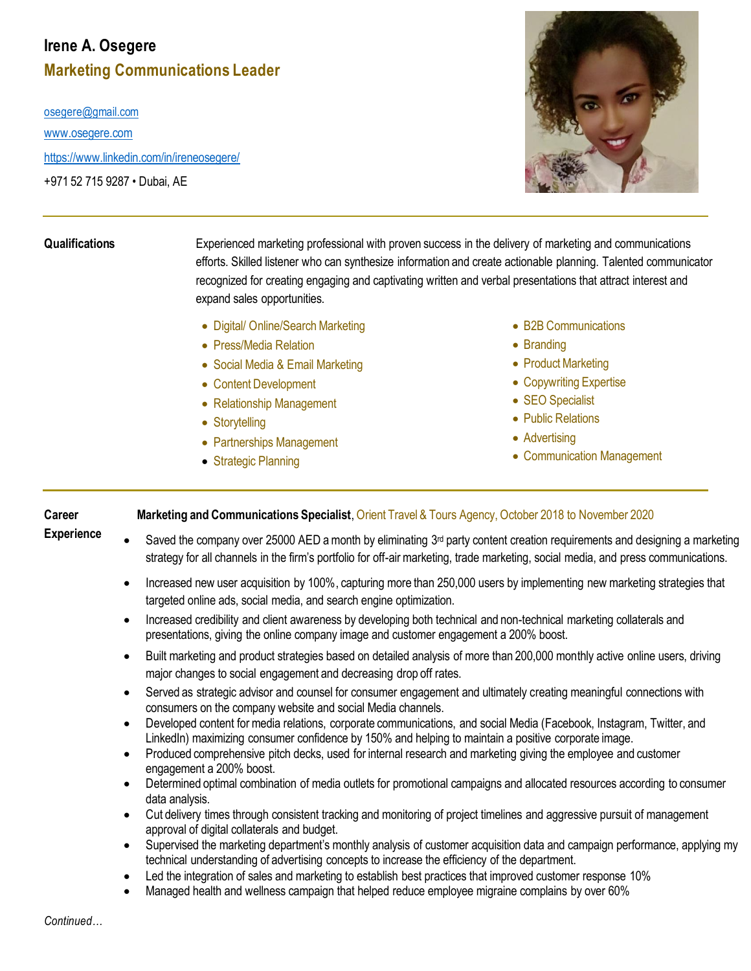## **Irene A. Osegere Marketing Communications Leader**

[osegere@gmail.com](mailto:osegere@gmail.com)

[www.osegere.com](http://www.osegere.com/)

<https://www.linkedin.com/in/ireneosegere/>

+971 52 715 9287 • Dubai, AE



**Qualifications** Experienced marketing professional with proven success in the delivery of marketing and communications efforts. Skilled listener who can synthesize information and create actionable planning. Talented communicator recognized for creating engaging and captivating written and verbal presentations that attract interest and expand sales opportunities.

- Digital/ Online/Search Marketing
- Press/Media Relation
- Social Media & Email Marketing
- Content Development
- Relationship Management
- Storytelling
- Partnerships Management
- Strategic Planning
- B2B Communications
- Branding
- Product Marketing
- Copywriting Expertise
- **SEO** Specialist
- Public Relations
- Advertising
- Communication Management

## **Career Marketing and Communications Specialist**, Orient Travel & Tours Agency, October 2018 to November 2020

- **Experience**
- Saved the company over 25000 AED a month by eliminating 3<sup>rd</sup> party content creation requirements and designing a marketing strategy for all channels in the firm's portfolio for off-air marketing, trade marketing, social media, and press communications.
	- Increased new user acquisition by 100%, capturing more than 250,000 users by implementing new marketing strategies that targeted online ads, social media, and search engine optimization.
	- Increased credibility and client awareness by developing both technical and non-technical marketing collaterals and presentations, giving the online company image and customer engagement a 200% boost.
	- Built marketing and product strategies based on detailed analysis of more than 200,000 monthly active online users, driving major changes to social engagement and decreasing drop off rates.
	- Served as strategic advisor and counsel for consumer engagement and ultimately creating meaningful connections with consumers on the company website and social Media channels.
	- Developed content for media relations, corporate communications, and social Media (Facebook, Instagram, Twitter, and LinkedIn) maximizing consumer confidence by 150% and helping to maintain a positive corporate image.
	- Produced comprehensive pitch decks, used for internal research and marketing giving the employee and customer engagement a 200% boost.
	- Determined optimal combination of media outlets for promotional campaigns and allocated resources according to consumer data analysis.
	- Cut delivery times through consistent tracking and monitoring of project timelines and aggressive pursuit of management approval of digital collaterals and budget.
	- Supervised the marketing department's monthly analysis of customer acquisition data and campaign performance, applying my technical understanding of advertising concepts to increase the efficiency of the department.
	- Led the integration of sales and marketing to establish best practices that improved customer response 10%
	- Managed health and wellness campaign that helped reduce employee migraine complains by over 60%